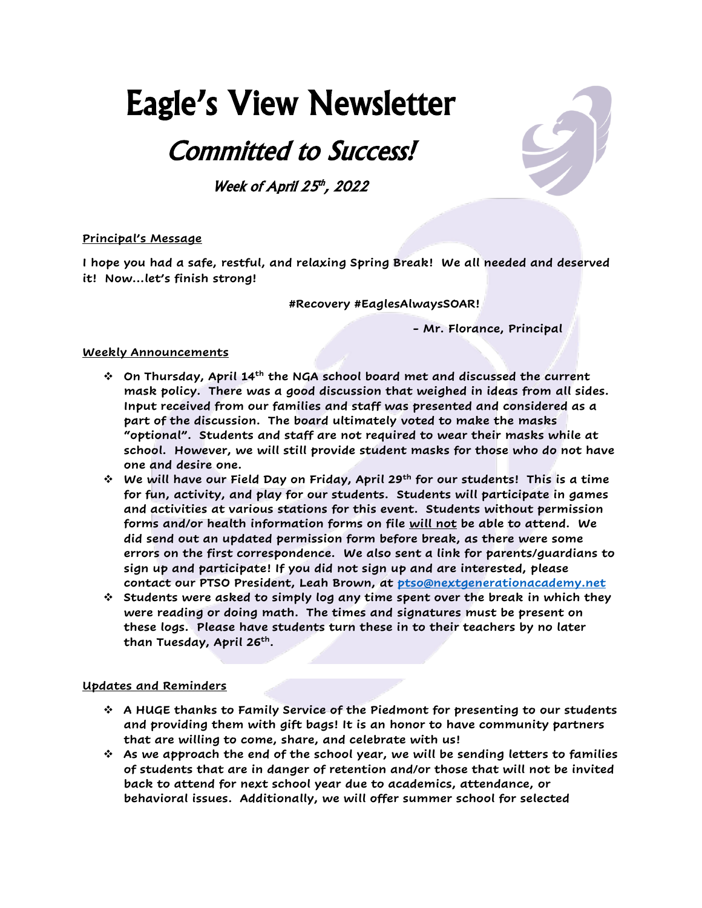# Eagle's View Newsletter

## Committed to Success!

Week of April  $25<sup>th</sup>$ , 2022

### **Principal's Message**

**I hope you had a safe, restful, and relaxing Spring Break! We all needed and deserved it! Now…let's finish strong!**

**#Recovery #EaglesAlwaysSOAR!**

**- Mr. Florance, Principal**

#### **Weekly Announcements**

- ❖ **On Thursday, April 14th the NGA school board met and discussed the current mask policy. There was a good discussion that weighed in ideas from all sides. Input received from our families and staff was presented and considered as a part of the discussion. The board ultimately voted to make the masks "optional". Students and staff are not required to wear their masks while at school. However, we will still provide student masks for those who do not have one and desire one.**
- ❖ **We will have our Field Day on Friday, April 29th for our students! This is a time for fun, activity, and play for our students. Students will participate in games and activities at various stations for this event. Students without permission forms and/or health information forms on file will not be able to attend. We did send out an updated permission form before break, as there were some errors on the first correspondence. We also sent a link for parents/guardians to sign up and participate! If you did not sign up and are interested, please contact our PTSO President, Leah Brown, at [ptso@nextgenerationacademy.net](mailto:ptso@nextgenerationacademy.net)**
- ❖ **Students were asked to simply log any time spent over the break in which they were reading or doing math. The times and signatures must be present on these logs. Please have students turn these in to their teachers by no later than Tuesday, April 26th .**

#### **Updates and Reminders**

- ❖ **A HUGE thanks to Family Service of the Piedmont for presenting to our students and providing them with gift bags! It is an honor to have community partners that are willing to come, share, and celebrate with us!**
- ❖ **As we approach the end of the school year, we will be sending letters to families of students that are in danger of retention and/or those that will not be invited back to attend for next school year due to academics, attendance, or behavioral issues. Additionally, we will offer summer school for selected**